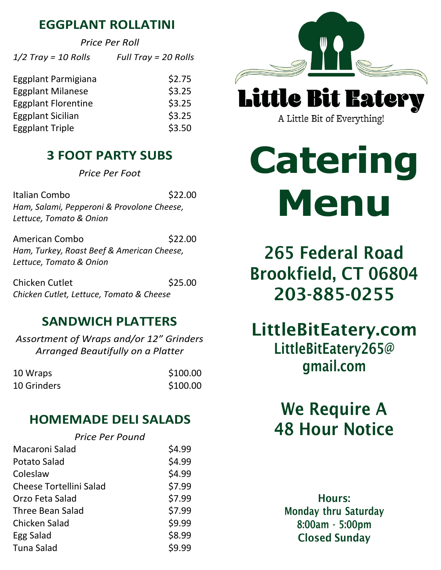#### **EGGPLANT ROLLATINI**

*Price Per Roll*

| $1/2$ Tray = 10 Rolls      | Full Tray = $20$ Rolls |
|----------------------------|------------------------|
| Eggplant Parmigiana        | \$2.75                 |
| <b>Eggplant Milanese</b>   | \$3.25                 |
| <b>Eggplant Florentine</b> | \$3.25                 |
| <b>Eggplant Sicilian</b>   | \$3.25                 |
| <b>Eggplant Triple</b>     | \$3.50                 |

# **3 FOOT PARTY SUBS**

*Price Per Foot* 

Italian Combo **\$22.00** *Ham, Salami, Pepperoni & Provolone Cheese, Lettuce, Tomato & Onion*

American Combo **\$22.00** *Ham, Turkey, Roast Beef & American Cheese, Lettuce, Tomato & Onion* 

\$25.00 Chicken Cutlet *Chicken Cutlet, Lettuce, Tomato & Cheese*

# **SANDWICH PLATTERS**

*Assortment of Wraps and/or 12" Grinders Arranged Beautifully on a Platter* 

| 10 Wraps    | \$100.00 |
|-------------|----------|
| 10 Grinders | \$100.00 |

# **HOMEMADE DELI SALADS**

#### *Price Per Pound*

| Macaroni Salad                 | \$4.99 |
|--------------------------------|--------|
| <b>Potato Salad</b>            | \$4.99 |
| Coleslaw                       | \$4.99 |
| <b>Cheese Tortellini Salad</b> | \$7.99 |
| Orzo Feta Salad                | \$7.99 |
| Three Bean Salad               | \$7.99 |
| Chicken Salad                  | \$9.99 |
| Egg Salad                      | \$8.99 |
| <b>Tuna Salad</b>              | \$9.99 |



A Little Bit of Everything!

# **Catering Menu**

265 Federal Road Brookfield, CT 06804 203-885-0255

LittleBitEatery.com [LittleBitEatery265@](mailto:LittleBitEatery265@gmail.com)  [gmail.com](mailto:LittleBitEatery265@gmail.com)

# We Require A 48 Hour Notice

Hours: Monday thru Saturday 8:00am - 5:00pm Closed Sunday